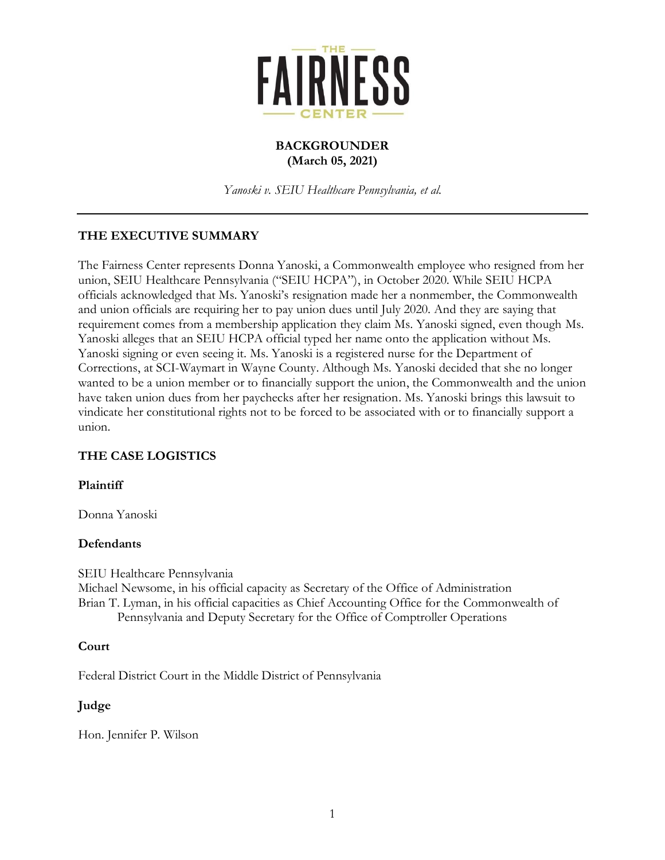

#### **BACKGROUNDER (March 05, 2021)**

*Yanoski v. SEIU Healthcare Pennsylvania, et al.*

# **THE EXECUTIVE SUMMARY**

The Fairness Center represents Donna Yanoski, a Commonwealth employee who resigned from her union, SEIU Healthcare Pennsylvania ("SEIU HCPA"), in October 2020. While SEIU HCPA officials acknowledged that Ms. Yanoski's resignation made her a nonmember, the Commonwealth and union officials are requiring her to pay union dues until July 2020. And they are saying that requirement comes from a membership application they claim Ms. Yanoski signed, even though Ms. Yanoski alleges that an SEIU HCPA official typed her name onto the application without Ms. Yanoski signing or even seeing it. Ms. Yanoski is a registered nurse for the Department of Corrections, at SCI-Waymart in Wayne County. Although Ms. Yanoski decided that she no longer wanted to be a union member or to financially support the union, the Commonwealth and the union have taken union dues from her paychecks after her resignation. Ms. Yanoski brings this lawsuit to vindicate her constitutional rights not to be forced to be associated with or to financially support a union.

## **THE CASE LOGISTICS**

#### **Plaintiff**

Donna Yanoski

#### **Defendants**

SEIU Healthcare Pennsylvania

Michael Newsome, in his official capacity as Secretary of the Office of Administration Brian T. Lyman, in his official capacities as Chief Accounting Office for the Commonwealth of Pennsylvania and Deputy Secretary for the Office of Comptroller Operations

#### **Court**

Federal District Court in the Middle District of Pennsylvania

#### **Judge**

Hon. Jennifer P. Wilson